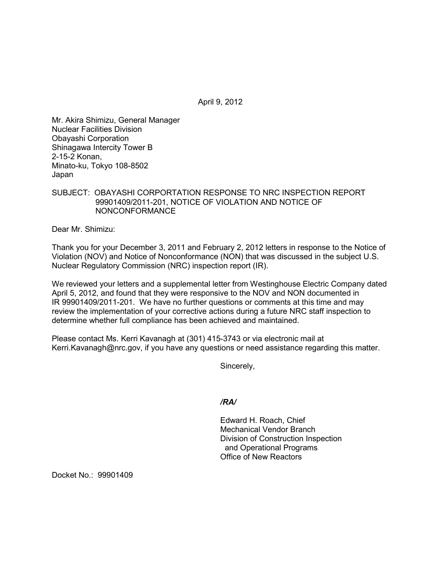April 9, 2012

Mr. Akira Shimizu, General Manager Nuclear Facilities Division Obayashi Corporation Shinagawa Intercity Tower B 2-15-2 Konan, Minato-ku, Tokyo 108-8502 Japan

SUBJECT: OBAYASHI CORPORTATION RESPONSE TO NRC INSPECTION REPORT 99901409/2011-201, NOTICE OF VIOLATION AND NOTICE OF NONCONFORMANCE

Dear Mr. Shimizu:

Thank you for your December 3, 2011 and February 2, 2012 letters in response to the Notice of Violation (NOV) and Notice of Nonconformance (NON) that was discussed in the subject U.S. Nuclear Regulatory Commission (NRC) inspection report (IR).

We reviewed your letters and a supplemental letter from Westinghouse Electric Company dated April 5, 2012, and found that they were responsive to the NOV and NON documented in IR 99901409/2011-201. We have no further questions or comments at this time and may review the implementation of your corrective actions during a future NRC staff inspection to determine whether full compliance has been achieved and maintained.

Please contact Ms. Kerri Kavanagh at (301) 415-3743 or via electronic mail at Kerri.Kavanagh@nrc.gov, if you have any questions or need assistance regarding this matter.

Sincerely,

*/RA/* 

Edward H. Roach, Chief Mechanical Vendor Branch Division of Construction Inspection and Operational Programs Office of New Reactors

Docket No.: 99901409